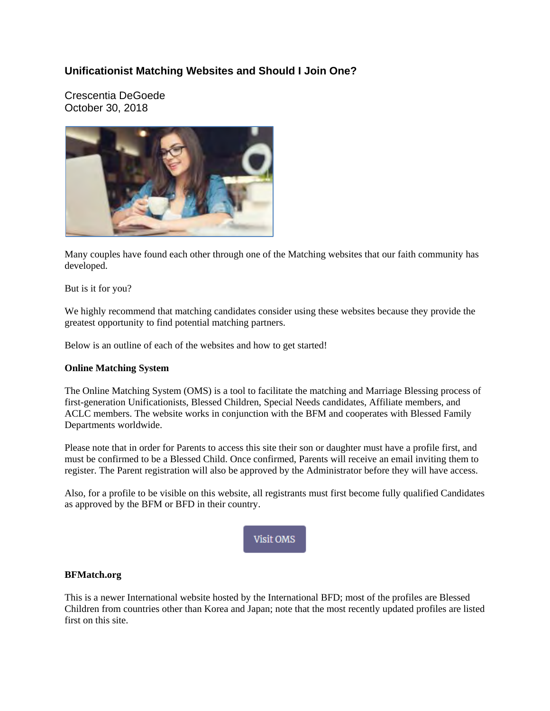# **Unificationist Matching Websites and Should I Join One?**

Crescentia DeGoede October 30, 2018



Many couples have found each other through one of the Matching websites that our faith community has developed.

But is it for you?

We highly recommend that matching candidates consider using these websites because they provide the greatest opportunity to find potential matching partners.

Below is an outline of each of the websites and how to get started!

# **Online Matching System**

The Online Matching System (OMS) is a tool to facilitate the matching and Marriage Blessing process of first-generation Unificationists, Blessed Children, Special Needs candidates, Affiliate members, and ACLC members. The website works in conjunction with the BFM and cooperates with Blessed Family Departments worldwide.

Please note that in order for Parents to access this site their son or daughter must have a profile first, and must be confirmed to be a Blessed Child. Once confirmed, Parents will receive an email inviting them to register. The Parent registration will also be approved by the Administrator before they will have access.

Also, for a profile to be visible on this website, all registrants must first become fully qualified Candidates as approved by the BFM or BFD in their country.



# **BFMatch.org**

This is a newer International website hosted by the International BFD; most of the profiles are Blessed Children from countries other than Korea and Japan; note that the most recently updated profiles are listed first on this site.